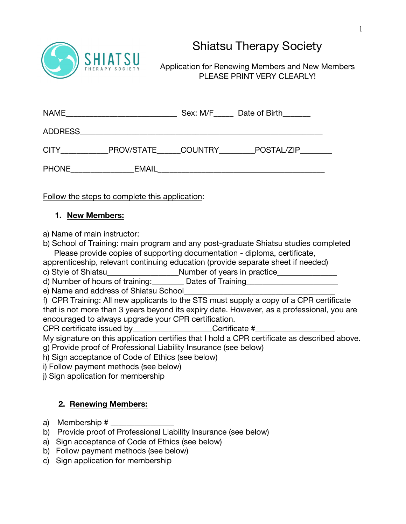

# Shiatsu Therapy Society

Application for Renewing Members and New Members PLEASE PRINT VERY CLEARLY!

| <b>NAME</b>    |                    | Sex: M/F Date of Birth |  |
|----------------|--------------------|------------------------|--|
| <b>ADDRESS</b> |                    |                        |  |
| <b>CITY</b>    | PROV/STATE COUNTRY | POSTAL/ZIP             |  |
| <b>PHONE</b>   | <b>EMAIL</b>       |                        |  |

Follow the steps to complete this application:

### **1. New Members:**

a) Name of main instructor:

b) School of Training: main program and any post-graduate Shiatsu studies completed Please provide copies of supporting documentation - diploma, certificate,

apprenticeship, relevant continuing education (provide separate sheet if needed)

c) Style of Shiatsu extending Number of years in practice

d) Number of hours of training: Dates of Training

e) Name and address of Shiatsu School

f) CPR Training: All new applicants to the STS must supply a copy of a CPR certificate that is not more than 3 years beyond its expiry date. However, as a professional, you are encouraged to always upgrade your CPR certification.

CPR certificate issued by Certificate #

My signature on this application certifies that I hold a CPR certificate as described above. g) Provide proof of Professional Liability Insurance (see below)

h) Sign acceptance of Code of Ethics (see below)

i) Follow payment methods (see below)

j) Sign application for membership

# **2. Renewing Members:**

- a) Membership # \_\_\_\_\_\_\_\_\_\_\_\_\_\_\_\_
- b) Provide proof of Professional Liability Insurance (see below)
- a) Sign acceptance of Code of Ethics (see below)
- b) Follow payment methods (see below)
- c) Sign application for membership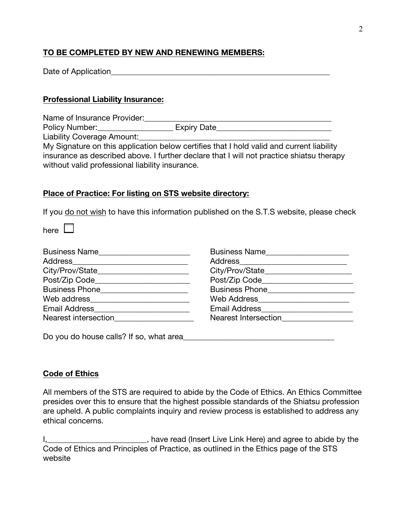## **TO BE COMPLETED BY NEW AND RENEWING MEMBERS:**

| Date of Application |  |
|---------------------|--|
|                     |  |

#### **Professional Liability Insurance:**

Name of Insurance Provider:\_\_\_\_\_\_\_\_\_\_\_\_\_\_\_\_\_\_\_\_\_\_\_\_\_\_\_\_\_\_\_\_\_\_\_\_\_\_\_\_\_\_\_\_\_\_\_

Policy Number:\_\_\_\_\_\_\_\_\_\_\_\_\_\_\_\_\_\_\_\_\_\_\_\_\_ Expiry Date\_\_\_\_\_\_\_\_\_\_\_\_\_\_\_\_\_\_\_\_\_\_\_\_\_\_\_\_\_

Liability Coverage Amount:

My Signature on this application below certifies that I hold valid and current liability insurance as described above. I further declare that I will not practice shiatsu therapy without valid professional liability insurance.

#### **Place of Practice: For listing on STS website directory:**

If you do not wish to have this information published on the S.T.S website, please check

here  $\Box$ 

| Business Name                                 | Business Name                         |
|-----------------------------------------------|---------------------------------------|
| Address_______________________________        |                                       |
| City/Prov/State_________________________      |                                       |
| Post/Zip Code__________________________       | Post/Zip Code________________________ |
| Business Phone <u>_______________________</u> |                                       |
|                                               | Web Address______________             |
|                                               |                                       |
| Nearest intersection                          | Nearest Intersection                  |
| Do you do house calls? If so, what area       |                                       |

**Code of Ethics**

All members of the STS are required to abide by the Code of Ethics. An Ethics Committee presides over this to ensure that the highest possible standards of the Shiatsu profession are upheld. A public complaints inquiry and review process is established to address any ethical concerns.

I,\_\_\_\_\_\_\_\_\_\_\_\_\_\_\_\_\_\_\_\_\_\_\_\_\_\_\_, have read (Insert Live Link Here) and agree to abide by the Code of Ethics and Principles of Practice, as outlined in the Ethics page of the STS website